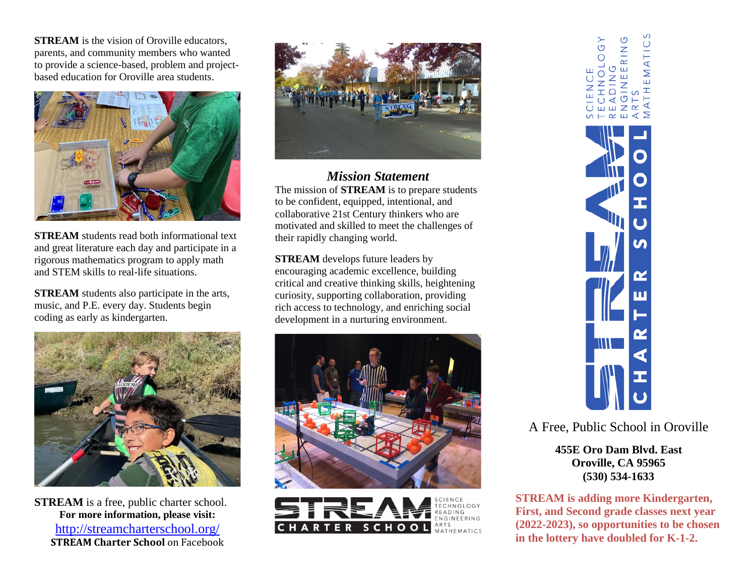**STREAM** is the vision of Oroville educators, parents, and community members who wanted to provide a science-based, problem and projectbased education for Oroville area students.



**STREAM** students read both informational text and great literature each day and participate in a rigorous mathematics program to apply math and STEM skills to real-life situations.

**STREAM** students also participate in the arts, music, and P.E. every day. Students begin coding as early as kindergarten.



**STREAM** is a free, public charter school. **For more information, please visit:** <http://streamcharterschool.org/> **STREAM Charter School** on Facebook



*Mission Statement* The mission of **STREAM** is to prepare students to be confident, equipped, intentional, and collaborative 21st Century thinkers who are motivated and skilled to meet the challenges of their rapidly changing world.

**STREAM** develops future leaders by encouraging academic excellence, building critical and creative thinking skills, heightening curiosity, supporting collaboration, providing rich access to technology, and enriching social development in a nurturing environment.







A Free, Public School in Oroville

**455E Oro Dam Blvd. East Oroville, CA 95965 (530) 534-1633**

**STREAM is adding more Kindergarten, First, and Second grade classes next year (2022-2023), so opportunities to be chosen in the lottery have doubled for K-1-2.**